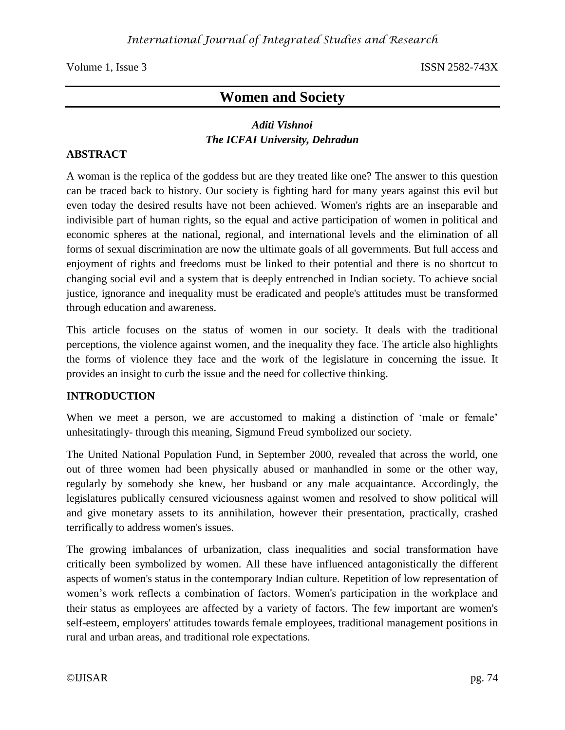# **Women and Society**

## *Aditi Vishnoi The ICFAI University, Dehradun*

### **ABSTRACT**

A woman is the replica of the goddess but are they treated like one? The answer to this question can be traced back to history. Our society is fighting hard for many years against this evil but even today the desired results have not been achieved. Women's rights are an inseparable and indivisible part of human rights, so the equal and active participation of women in political and economic spheres at the national, regional, and international levels and the elimination of all forms of sexual discrimination are now the ultimate goals of all governments. But full access and enjoyment of rights and freedoms must be linked to their potential and there is no shortcut to changing social evil and a system that is deeply entrenched in Indian society. To achieve social justice, ignorance and inequality must be eradicated and people's attitudes must be transformed through education and awareness.

This article focuses on the status of women in our society. It deals with the traditional perceptions, the violence against women, and the inequality they face. The article also highlights the forms of violence they face and the work of the legislature in concerning the issue. It provides an insight to curb the issue and the need for collective thinking.

### **INTRODUCTION**

When we meet a person, we are accustomed to making a distinction of 'male or female' unhesitatingly- through this meaning, Sigmund Freud symbolized our society.

The United National Population Fund, in September 2000, revealed that across the world, one out of three women had been physically abused or manhandled in some or the other way, regularly by somebody she knew, her husband or any male acquaintance. Accordingly, the legislatures publically censured viciousness against women and resolved to show political will and give monetary assets to its annihilation, however their presentation, practically, crashed terrifically to address women's issues.

The growing imbalances of urbanization, class inequalities and social transformation have critically been symbolized by women. All these have influenced antagonistically the different aspects of women's status in the contemporary Indian culture. Repetition of low representation of women's work reflects a combination of factors. Women's participation in the workplace and their status as employees are affected by a variety of factors. The few important are women's self-esteem, employers' attitudes towards female employees, traditional management positions in rural and urban areas, and traditional role expectations.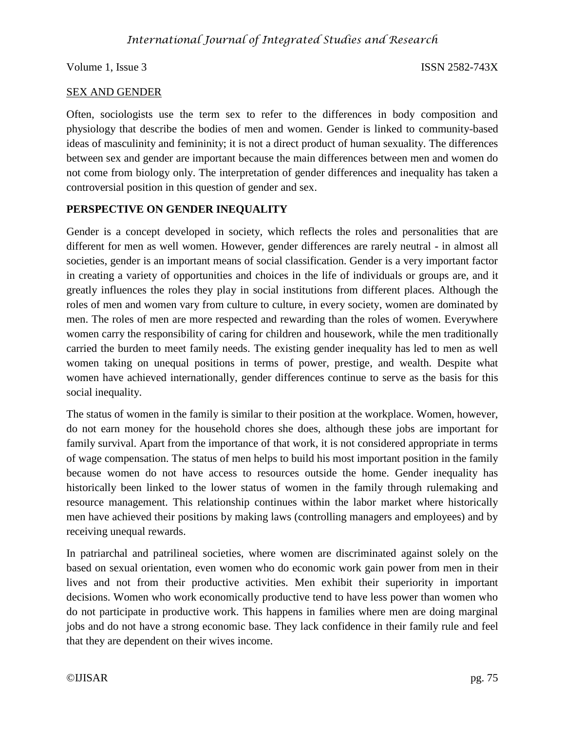### SEX AND GENDER

Often, sociologists use the term sex to refer to the differences in body composition and physiology that describe the bodies of men and women. Gender is linked to community-based ideas of masculinity and femininity; it is not a direct product of human sexuality. The differences between sex and gender are important because the main differences between men and women do not come from biology only. The interpretation of gender differences and inequality has taken a controversial position in this question of gender and sex.

### **PERSPECTIVE ON GENDER INEQUALITY**

Gender is a concept developed in society, which reflects the roles and personalities that are different for men as well women. However, gender differences are rarely neutral - in almost all societies, gender is an important means of social classification. Gender is a very important factor in creating a variety of opportunities and choices in the life of individuals or groups are, and it greatly influences the roles they play in social institutions from different places. Although the roles of men and women vary from culture to culture, in every society, women are dominated by men. The roles of men are more respected and rewarding than the roles of women. Everywhere women carry the responsibility of caring for children and housework, while the men traditionally carried the burden to meet family needs. The existing gender inequality has led to men as well women taking on unequal positions in terms of power, prestige, and wealth. Despite what women have achieved internationally, gender differences continue to serve as the basis for this social inequality.

The status of women in the family is similar to their position at the workplace. Women, however, do not earn money for the household chores she does, although these jobs are important for family survival. Apart from the importance of that work, it is not considered appropriate in terms of wage compensation. The status of men helps to build his most important position in the family because women do not have access to resources outside the home. Gender inequality has historically been linked to the lower status of women in the family through rulemaking and resource management. This relationship continues within the labor market where historically men have achieved their positions by making laws (controlling managers and employees) and by receiving unequal rewards.

In patriarchal and patrilineal societies, where women are discriminated against solely on the based on sexual orientation, even women who do economic work gain power from men in their lives and not from their productive activities. Men exhibit their superiority in important decisions. Women who work economically productive tend to have less power than women who do not participate in productive work. This happens in families where men are doing marginal jobs and do not have a strong economic base. They lack confidence in their family rule and feel that they are dependent on their wives income.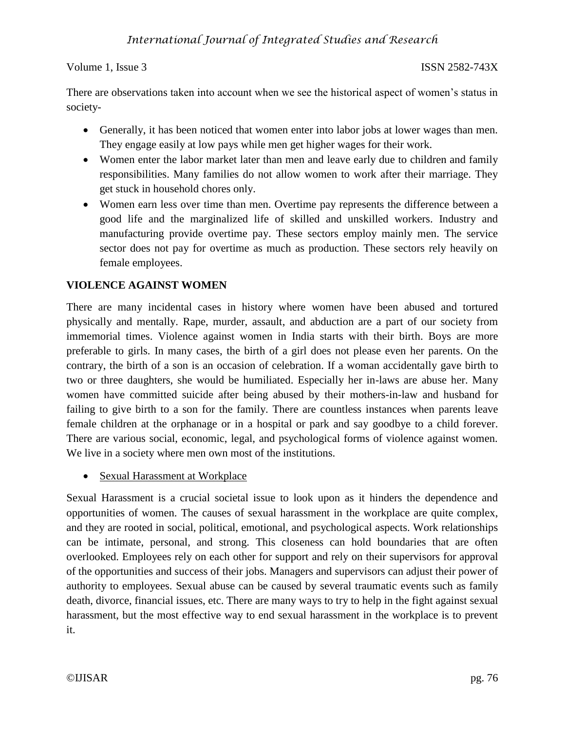There are observations taken into account when we see the historical aspect of women's status in society-

- Generally, it has been noticed that women enter into labor jobs at lower wages than men. They engage easily at low pays while men get higher wages for their work.
- Women enter the labor market later than men and leave early due to children and family responsibilities. Many families do not allow women to work after their marriage. They get stuck in household chores only.
- Women earn less over time than men. Overtime pay represents the difference between a good life and the marginalized life of skilled and unskilled workers. Industry and manufacturing provide overtime pay. These sectors employ mainly men. The service sector does not pay for overtime as much as production. These sectors rely heavily on female employees.

## **VIOLENCE AGAINST WOMEN**

There are many incidental cases in history where women have been abused and tortured physically and mentally. Rape, murder, assault, and abduction are a part of our society from immemorial times. Violence against women in India starts with their birth. Boys are more preferable to girls. In many cases, the birth of a girl does not please even her parents. On the contrary, the birth of a son is an occasion of celebration. If a woman accidentally gave birth to two or three daughters, she would be humiliated. Especially her in-laws are abuse her. Many women have committed suicide after being abused by their mothers-in-law and husband for failing to give birth to a son for the family. There are countless instances when parents leave female children at the orphanage or in a hospital or park and say goodbye to a child forever. There are various social, economic, legal, and psychological forms of violence against women. We live in a society where men own most of the institutions.

• Sexual Harassment at Workplace

Sexual Harassment is a crucial societal issue to look upon as it hinders the dependence and opportunities of women. The causes of sexual harassment in the workplace are quite complex, and they are rooted in social, political, emotional, and psychological aspects. Work relationships can be intimate, personal, and strong. This closeness can hold boundaries that are often overlooked. Employees rely on each other for support and rely on their supervisors for approval of the opportunities and success of their jobs. Managers and supervisors can adjust their power of authority to employees. Sexual abuse can be caused by several traumatic events such as family death, divorce, financial issues, etc. There are many ways to try to help in the fight against sexual harassment, but the most effective way to end sexual harassment in the workplace is to prevent it.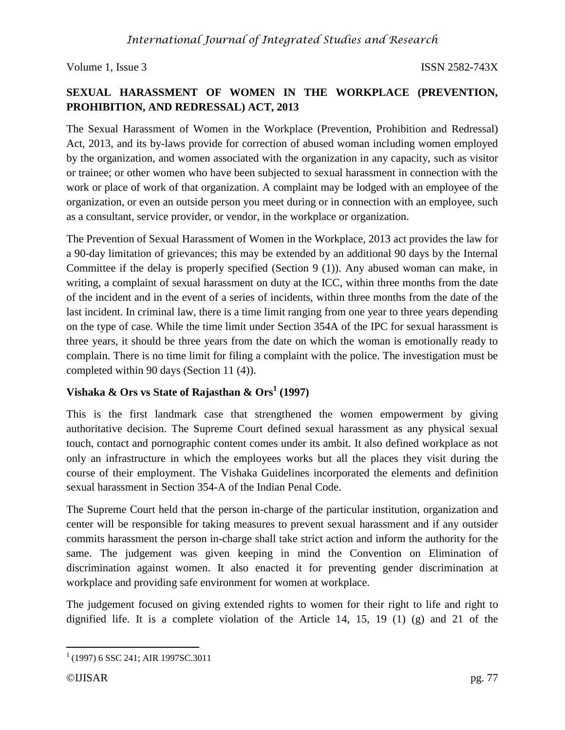## **SEXUAL HARASSMENT OF WOMEN IN THE WORKPLACE (PREVENTION, PROHIBITION, AND REDRESSAL) ACT, 2013**

The Sexual Harassment of Women in the Workplace (Prevention, Prohibition and Redressal) Act, 2013, and its by-laws provide for correction of abused woman including women employed by the organization, and women associated with the organization in any capacity, such as visitor or trainee; or other women who have been subjected to sexual harassment in connection with the work or place of work of that organization. A complaint may be lodged with an employee of the organization, or even an outside person you meet during or in connection with an employee, such as a consultant, service provider, or vendor, in the workplace or organization.

The Prevention of Sexual Harassment of Women in the Workplace, 2013 act provides the law for a 90-day limitation of grievances; this may be extended by an additional 90 days by the Internal Committee if the delay is properly specified (Section 9 (1)). Any abused woman can make, in writing, a complaint of sexual harassment on duty at the ICC, within three months from the date of the incident and in the event of a series of incidents, within three months from the date of the last incident. In criminal law, there is a time limit ranging from one year to three years depending on the type of case. While the time limit under Section 354A of the IPC for sexual harassment is three years, it should be three years from the date on which the woman is emotionally ready to complain. There is no time limit for filing a complaint with the police. The investigation must be completed within 90 days (Section 11 (4)).

## **Vishaka & Ors vs State of Rajasthan & Ors<sup>1</sup> (1997)**

This is the first landmark case that strengthened the women empowerment by giving authoritative decision. The Supreme Court defined sexual harassment as any physical sexual touch, contact and pornographic content comes under its ambit. It also defined workplace as not only an infrastructure in which the employees works but all the places they visit during the course of their employment. The Vishaka Guidelines incorporated the elements and definition sexual harassment in Section 354-A of the Indian Penal Code.

The Supreme Court held that the person in-charge of the particular institution, organization and center will be responsible for taking measures to prevent sexual harassment and if any outsider commits harassment the person in-charge shall take strict action and inform the authority for the same. The judgement was given keeping in mind the Convention on Elimination of discrimination against women. It also enacted it for preventing gender discrimination at workplace and providing safe environment for women at workplace.

The judgement focused on giving extended rights to women for their right to life and right to dignified life. It is a complete violation of the Article 14, 15, 19 (1) (g) and 21 of the

 $\overline{\phantom{a}}$ <sup>1</sup> (1997) 6 SSC 241; AIR 1997SC.3011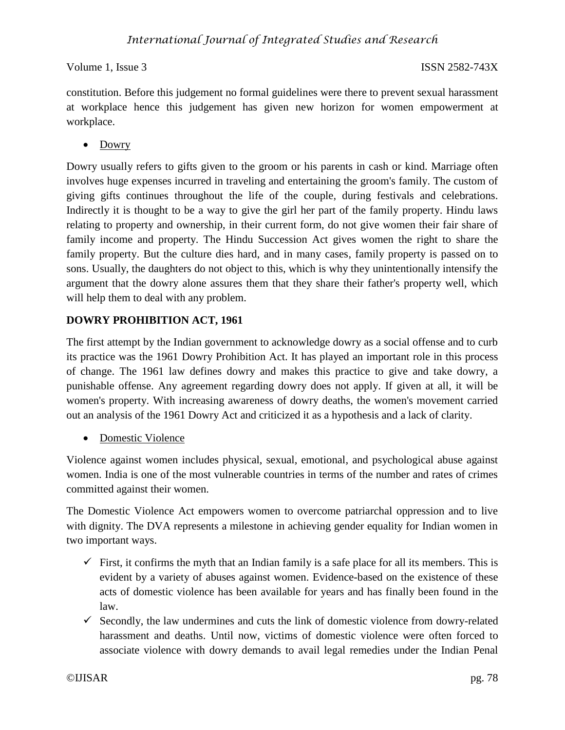constitution. Before this judgement no formal guidelines were there to prevent sexual harassment at workplace hence this judgement has given new horizon for women empowerment at workplace.

• Dowry

Dowry usually refers to gifts given to the groom or his parents in cash or kind. Marriage often involves huge expenses incurred in traveling and entertaining the groom's family. The custom of giving gifts continues throughout the life of the couple, during festivals and celebrations. Indirectly it is thought to be a way to give the girl her part of the family property. Hindu laws relating to property and ownership, in their current form, do not give women their fair share of family income and property. The Hindu Succession Act gives women the right to share the family property. But the culture dies hard, and in many cases, family property is passed on to sons. Usually, the daughters do not object to this, which is why they unintentionally intensify the argument that the dowry alone assures them that they share their father's property well, which will help them to deal with any problem.

## **DOWRY PROHIBITION ACT, 1961**

The first attempt by the Indian government to acknowledge dowry as a social offense and to curb its practice was the 1961 Dowry Prohibition Act. It has played an important role in this process of change. The 1961 law defines dowry and makes this practice to give and take dowry, a punishable offense. Any agreement regarding dowry does not apply. If given at all, it will be women's property. With increasing awareness of dowry deaths, the women's movement carried out an analysis of the 1961 Dowry Act and criticized it as a hypothesis and a lack of clarity.

• Domestic Violence

Violence against women includes physical, sexual, emotional, and psychological abuse against women. India is one of the most vulnerable countries in terms of the number and rates of crimes committed against their women.

The Domestic Violence Act empowers women to overcome patriarchal oppression and to live with dignity. The DVA represents a milestone in achieving gender equality for Indian women in two important ways.

- $\checkmark$  First, it confirms the myth that an Indian family is a safe place for all its members. This is evident by a variety of abuses against women. Evidence-based on the existence of these acts of domestic violence has been available for years and has finally been found in the law.
- $\checkmark$  Secondly, the law undermines and cuts the link of domestic violence from dowry-related harassment and deaths. Until now, victims of domestic violence were often forced to associate violence with dowry demands to avail legal remedies under the Indian Penal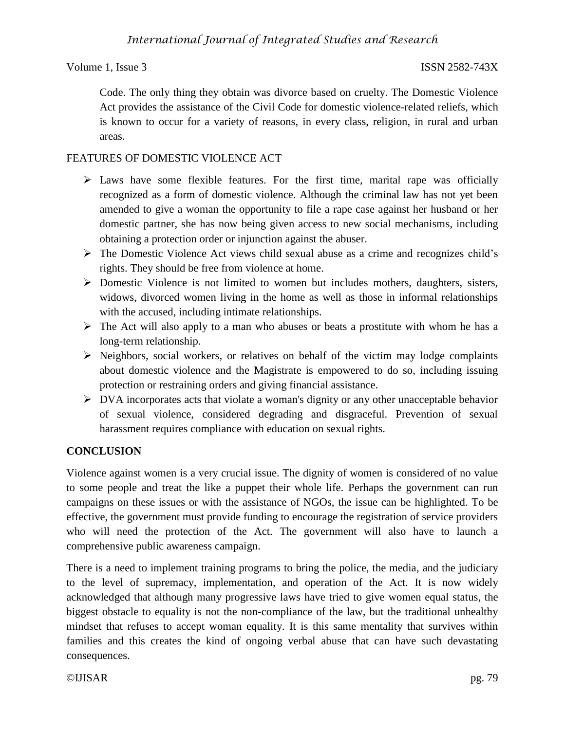Code. The only thing they obtain was divorce based on cruelty. The Domestic Violence Act provides the assistance of the Civil Code for domestic violence-related reliefs, which is known to occur for a variety of reasons, in every class, religion, in rural and urban areas.

## FEATURES OF DOMESTIC VIOLENCE ACT

- $\triangleright$  Laws have some flexible features. For the first time, marital rape was officially recognized as a form of domestic violence. Although the criminal law has not yet been amended to give a woman the opportunity to file a rape case against her husband or her domestic partner, she has now being given access to new social mechanisms, including obtaining a protection order or injunction against the abuser.
- The Domestic Violence Act views child sexual abuse as a crime and recognizes child's rights. They should be free from violence at home.
- $\triangleright$  Domestic Violence is not limited to women but includes mothers, daughters, sisters, widows, divorced women living in the home as well as those in informal relationships with the accused, including intimate relationships.
- $\triangleright$  The Act will also apply to a man who abuses or beats a prostitute with whom he has a long-term relationship.
- $\triangleright$  Neighbors, social workers, or relatives on behalf of the victim may lodge complaints about domestic violence and the Magistrate is empowered to do so, including issuing protection or restraining orders and giving financial assistance.
- $\triangleright$  DVA incorporates acts that violate a woman's dignity or any other unacceptable behavior of sexual violence, considered degrading and disgraceful. Prevention of sexual harassment requires compliance with education on sexual rights.

## **CONCLUSION**

Violence against women is a very crucial issue. The dignity of women is considered of no value to some people and treat the like a puppet their whole life. Perhaps the government can run campaigns on these issues or with the assistance of NGOs, the issue can be highlighted. To be effective, the government must provide funding to encourage the registration of service providers who will need the protection of the Act. The government will also have to launch a comprehensive public awareness campaign.

There is a need to implement training programs to bring the police, the media, and the judiciary to the level of supremacy, implementation, and operation of the Act. It is now widely acknowledged that although many progressive laws have tried to give women equal status, the biggest obstacle to equality is not the non-compliance of the law, but the traditional unhealthy mindset that refuses to accept woman equality. It is this same mentality that survives within families and this creates the kind of ongoing verbal abuse that can have such devastating consequences.

### ©IJISAR pg. 79